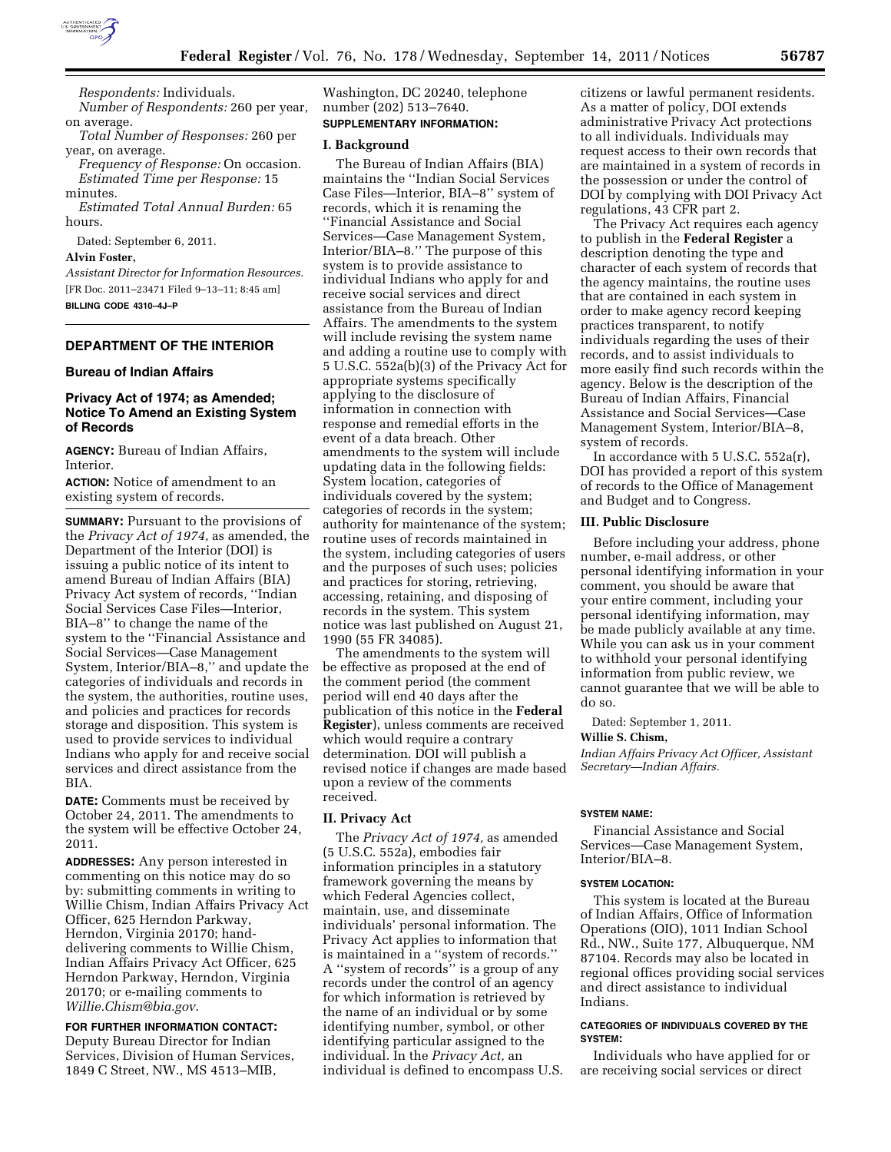

*Respondents:* Individuals. *Number of Respondents:* 260 per year, on average.

*Total Number of Responses:* 260 per year, on average.

*Frequency of Response:* On occasion. *Estimated Time per Response:* 15 minutes.

*Estimated Total Annual Burden:* 65 hours.

Dated: September 6, 2011.

**Alvin Foster,** 

*Assistant Director for Information Resources.*  [FR Doc. 2011–23471 Filed 9–13–11; 8:45 am] **BILLING CODE 4310–4J–P** 

## **DEPARTMENT OF THE INTERIOR**

## **Bureau of Indian Affairs**

## **Privacy Act of 1974; as Amended; Notice To Amend an Existing System of Records**

**AGENCY:** Bureau of Indian Affairs, **Interior** 

**ACTION:** Notice of amendment to an existing system of records.

**SUMMARY:** Pursuant to the provisions of the *Privacy Act of 1974,* as amended, the Department of the Interior (DOI) is issuing a public notice of its intent to amend Bureau of Indian Affairs (BIA) Privacy Act system of records, ''Indian Social Services Case Files—Interior, BIA–8'' to change the name of the system to the ''Financial Assistance and Social Services—Case Management System, Interior/BIA–8,'' and update the categories of individuals and records in the system, the authorities, routine uses, and policies and practices for records storage and disposition. This system is used to provide services to individual Indians who apply for and receive social services and direct assistance from the BIA.

**DATE:** Comments must be received by October 24, 2011. The amendments to the system will be effective October 24, 2011.

**ADDRESSES:** Any person interested in commenting on this notice may do so by: submitting comments in writing to Willie Chism, Indian Affairs Privacy Act Officer, 625 Herndon Parkway, Herndon, Virginia 20170; handdelivering comments to Willie Chism, Indian Affairs Privacy Act Officer, 625 Herndon Parkway, Herndon, Virginia 20170; or e-mailing comments to *[Willie.Chism@bia.gov](mailto:Willie.Chism@bia.gov)*.

## **FOR FURTHER INFORMATION CONTACT:**

Deputy Bureau Director for Indian Services, Division of Human Services, 1849 C Street, NW., MS 4513–MIB,

Washington, DC 20240, telephone number (202) 513–7640. **SUPPLEMENTARY INFORMATION:** 

## **I. Background**

The Bureau of Indian Affairs (BIA) maintains the ''Indian Social Services Case Files—Interior, BIA–8'' system of records, which it is renaming the ''Financial Assistance and Social Services—Case Management System, Interior/BIA–8.'' The purpose of this system is to provide assistance to individual Indians who apply for and receive social services and direct assistance from the Bureau of Indian Affairs. The amendments to the system will include revising the system name and adding a routine use to comply with 5 U.S.C. 552a(b)(3) of the Privacy Act for appropriate systems specifically applying to the disclosure of information in connection with response and remedial efforts in the event of a data breach. Other amendments to the system will include updating data in the following fields: System location, categories of individuals covered by the system; categories of records in the system; authority for maintenance of the system; routine uses of records maintained in the system, including categories of users and the purposes of such uses; policies and practices for storing, retrieving, accessing, retaining, and disposing of records in the system. This system notice was last published on August 21, 1990 (55 FR 34085).

The amendments to the system will be effective as proposed at the end of the comment period (the comment period will end 40 days after the publication of this notice in the **Federal Register**), unless comments are received which would require a contrary determination. DOI will publish a revised notice if changes are made based upon a review of the comments received.

## **II. Privacy Act**

The *Privacy Act of 1974,* as amended (5 U.S.C. 552a), embodies fair information principles in a statutory framework governing the means by which Federal Agencies collect, maintain, use, and disseminate individuals' personal information. The Privacy Act applies to information that is maintained in a ''system of records.'' A ''system of records'' is a group of any records under the control of an agency for which information is retrieved by the name of an individual or by some identifying number, symbol, or other identifying particular assigned to the individual. In the *Privacy Act,* an individual is defined to encompass U.S. citizens or lawful permanent residents. As a matter of policy, DOI extends administrative Privacy Act protections to all individuals. Individuals may request access to their own records that are maintained in a system of records in the possession or under the control of DOI by complying with DOI Privacy Act regulations, 43 CFR part 2.

The Privacy Act requires each agency to publish in the **Federal Register** a description denoting the type and character of each system of records that the agency maintains, the routine uses that are contained in each system in order to make agency record keeping practices transparent, to notify individuals regarding the uses of their records, and to assist individuals to more easily find such records within the agency. Below is the description of the Bureau of Indian Affairs, Financial Assistance and Social Services—Case Management System, Interior/BIA–8, system of records.

In accordance with 5 U.S.C. 552a(r), DOI has provided a report of this system of records to the Office of Management and Budget and to Congress.

## **III. Public Disclosure**

Before including your address, phone number, e-mail address, or other personal identifying information in your comment, you should be aware that your entire comment, including your personal identifying information, may be made publicly available at any time. While you can ask us in your comment to withhold your personal identifying information from public review, we cannot guarantee that we will be able to do so.

Dated: September 1, 2011.

### **Willie S. Chism,**

*Indian Affairs Privacy Act Officer, Assistant Secretary—Indian Affairs.* 

### **SYSTEM NAME:**

Financial Assistance and Social Services—Case Management System, Interior/BIA–8.

#### **SYSTEM LOCATION:**

This system is located at the Bureau of Indian Affairs, Office of Information Operations (OIO), 1011 Indian School Rd., NW., Suite 177, Albuquerque, NM 87104. Records may also be located in regional offices providing social services and direct assistance to individual Indians.

## **CATEGORIES OF INDIVIDUALS COVERED BY THE SYSTEM:**

Individuals who have applied for or are receiving social services or direct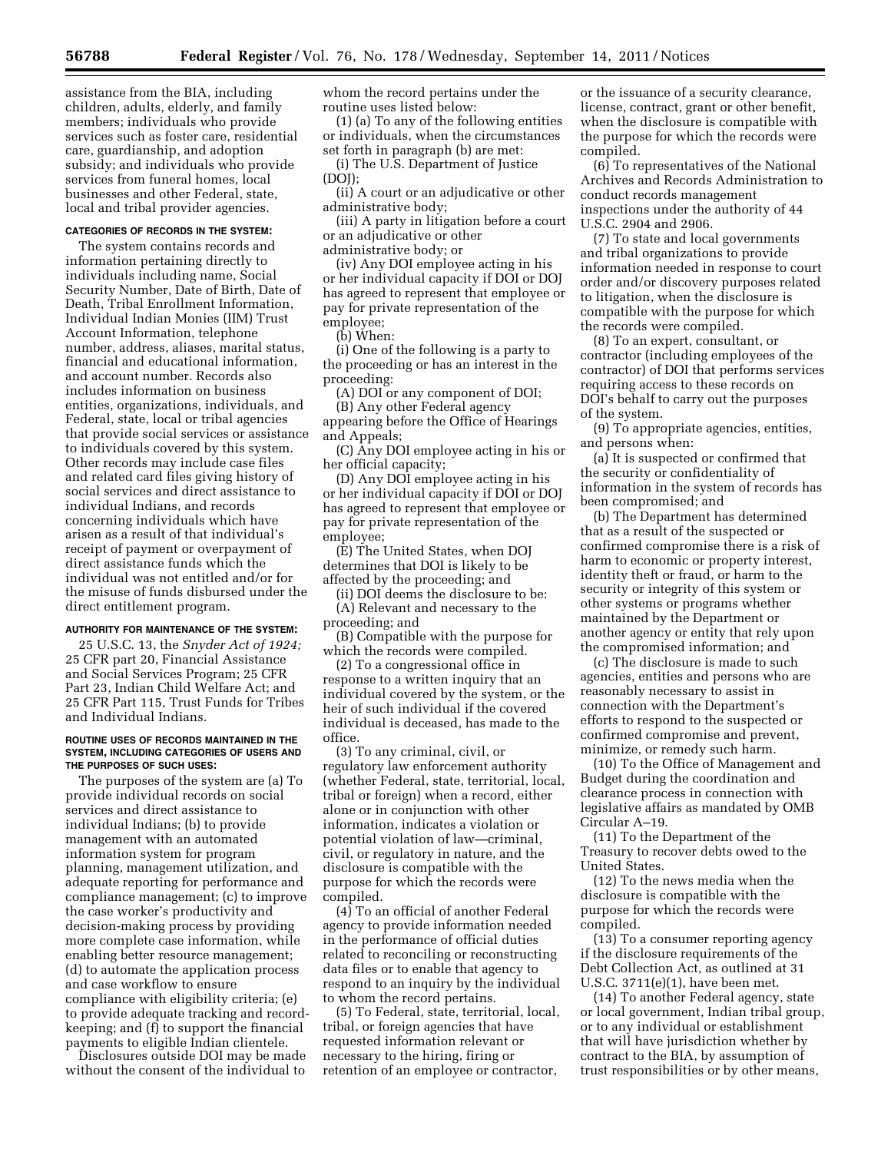assistance from the BIA, including children, adults, elderly, and family members; individuals who provide services such as foster care, residential care, guardianship, and adoption subsidy; and individuals who provide services from funeral homes, local businesses and other Federal, state, local and tribal provider agencies.

## **CATEGORIES OF RECORDS IN THE SYSTEM:**

The system contains records and information pertaining directly to individuals including name, Social Security Number, Date of Birth, Date of Death, Tribal Enrollment Information, Individual Indian Monies (IIM) Trust Account Information, telephone number, address, aliases, marital status, financial and educational information, and account number. Records also includes information on business entities, organizations, individuals, and Federal, state, local or tribal agencies that provide social services or assistance to individuals covered by this system. Other records may include case files and related card files giving history of social services and direct assistance to individual Indians, and records concerning individuals which have arisen as a result of that individual's receipt of payment or overpayment of direct assistance funds which the individual was not entitled and/or for the misuse of funds disbursed under the direct entitlement program.

## **AUTHORITY FOR MAINTENANCE OF THE SYSTEM:**

25 U.S.C. 13, the *Snyder Act of 1924;*  25 CFR part 20, Financial Assistance and Social Services Program; 25 CFR Part 23, Indian Child Welfare Act; and 25 CFR Part 115, Trust Funds for Tribes and Individual Indians.

#### **ROUTINE USES OF RECORDS MAINTAINED IN THE SYSTEM, INCLUDING CATEGORIES OF USERS AND THE PURPOSES OF SUCH USES:**

The purposes of the system are (a) To provide individual records on social services and direct assistance to individual Indians; (b) to provide management with an automated information system for program planning, management utilization, and adequate reporting for performance and compliance management; (c) to improve the case worker's productivity and decision-making process by providing more complete case information, while enabling better resource management; (d) to automate the application process and case workflow to ensure compliance with eligibility criteria; (e) to provide adequate tracking and recordkeeping; and (f) to support the financial payments to eligible Indian clientele.

Disclosures outside DOI may be made without the consent of the individual to

whom the record pertains under the routine uses listed below:

(1) (a) To any of the following entities or individuals, when the circumstances set forth in paragraph (b) are met:

(i) The U.S. Department of Justice (DOJ);

(ii) A court or an adjudicative or other administrative body;

(iii) A party in litigation before a court or an adjudicative or other administrative body; or

(iv) Any DOI employee acting in his or her individual capacity if DOI or DOJ has agreed to represent that employee or pay for private representation of the employee;

(b) When:

(i) One of the following is a party to the proceeding or has an interest in the proceeding:

(A) DOI or any component of DOI; (B) Any other Federal agency

appearing before the Office of Hearings and Appeals;

(C) Any DOI employee acting in his or her official capacity;

(D) Any DOI employee acting in his or her individual capacity if DOI or DOJ has agreed to represent that employee or pay for private representation of the employee;

(E) The United States, when DOJ determines that DOI is likely to be affected by the proceeding; and

(ii) DOI deems the disclosure to be:

(A) Relevant and necessary to the proceeding; and

(B) Compatible with the purpose for which the records were compiled.

(2) To a congressional office in response to a written inquiry that an individual covered by the system, or the heir of such individual if the covered individual is deceased, has made to the office.

(3) To any criminal, civil, or regulatory law enforcement authority (whether Federal, state, territorial, local, tribal or foreign) when a record, either alone or in conjunction with other information, indicates a violation or potential violation of law—criminal, civil, or regulatory in nature, and the disclosure is compatible with the purpose for which the records were compiled.

(4) To an official of another Federal agency to provide information needed in the performance of official duties related to reconciling or reconstructing data files or to enable that agency to respond to an inquiry by the individual to whom the record pertains.

(5) To Federal, state, territorial, local, tribal, or foreign agencies that have requested information relevant or necessary to the hiring, firing or retention of an employee or contractor,

or the issuance of a security clearance, license, contract, grant or other benefit, when the disclosure is compatible with the purpose for which the records were compiled.

(6) To representatives of the National Archives and Records Administration to conduct records management inspections under the authority of 44 U.S.C. 2904 and 2906.

(7) To state and local governments and tribal organizations to provide information needed in response to court order and/or discovery purposes related to litigation, when the disclosure is compatible with the purpose for which the records were compiled.

(8) To an expert, consultant, or contractor (including employees of the contractor) of DOI that performs services requiring access to these records on DOI's behalf to carry out the purposes of the system.

(9) To appropriate agencies, entities, and persons when:

(a) It is suspected or confirmed that the security or confidentiality of information in the system of records has been compromised; and

(b) The Department has determined that as a result of the suspected or confirmed compromise there is a risk of harm to economic or property interest, identity theft or fraud, or harm to the security or integrity of this system or other systems or programs whether maintained by the Department or another agency or entity that rely upon the compromised information; and

(c) The disclosure is made to such agencies, entities and persons who are reasonably necessary to assist in connection with the Department's efforts to respond to the suspected or confirmed compromise and prevent, minimize, or remedy such harm.

(10) To the Office of Management and Budget during the coordination and clearance process in connection with legislative affairs as mandated by OMB Circular A–19.

(11) To the Department of the Treasury to recover debts owed to the United States.

(12) To the news media when the disclosure is compatible with the purpose for which the records were compiled.

(13) To a consumer reporting agency if the disclosure requirements of the Debt Collection Act, as outlined at 31 U.S.C. 3711(e)(1), have been met.

(14) To another Federal agency, state or local government, Indian tribal group, or to any individual or establishment that will have jurisdiction whether by contract to the BIA, by assumption of trust responsibilities or by other means,